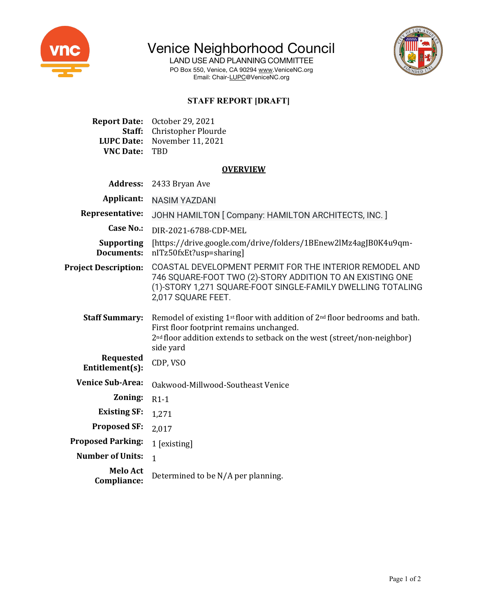

Venice Neighborhood Council

LAND USE AND PLANNING COMMITTEE PO Box 550, Venice, CA 90294 www.VeniceNC.org Email: Chair-LUPC@VeniceNC.org



# **STAFF REPORT [DRAFT]**

**Report Date:** October 29, 2021 **Staff:** Christopher Plourde **LUPC Date:** November 11, 2021 **VNC Date:** TBD

#### **OVERVIEW**

| <b>Address:</b>                        | 2433 Bryan Ave                                                                                                                                                                                                                          |
|----------------------------------------|-----------------------------------------------------------------------------------------------------------------------------------------------------------------------------------------------------------------------------------------|
| Applicant:                             | <b>NASIM YAZDANI</b>                                                                                                                                                                                                                    |
| Representative:                        | JOHN HAMILTON [ Company: HAMILTON ARCHITECTS, INC. ]                                                                                                                                                                                    |
| <b>Case No.:</b>                       | DIR-2021-6788-CDP-MEL                                                                                                                                                                                                                   |
| <b>Supporting</b><br><b>Documents:</b> | [https://drive.google.com/drive/folders/1BEnew2lMz4agJB0K4u9qm-<br>nITz50fxEt?usp=sharing]                                                                                                                                              |
| <b>Project Description:</b>            | COASTAL DEVELOPMENT PERMIT FOR THE INTERIOR REMODEL AND<br>746 SQUARE-FOOT TWO (2)-STORY ADDITION TO AN EXISTING ONE<br>(1)-STORY 1,271 SQUARE-FOOT SINGLE-FAMILY DWELLING TOTALING<br>2,017 SQUARE FEET.                               |
| <b>Staff Summary:</b>                  | Remodel of existing 1st floor with addition of 2 <sup>nd</sup> floor bedrooms and bath.<br>First floor footprint remains unchanged.<br>2 <sup>nd</sup> floor addition extends to setback on the west (street/non-neighbor)<br>side yard |
| <b>Requested</b><br>Entitlement(s):    | CDP, VSO                                                                                                                                                                                                                                |
| <b>Venice Sub-Area:</b>                | Oakwood-Millwood-Southeast Venice                                                                                                                                                                                                       |
| Zoning:                                | $R1-1$                                                                                                                                                                                                                                  |
| <b>Existing SF:</b>                    | 1,271                                                                                                                                                                                                                                   |
| <b>Proposed SF:</b>                    | 2,017                                                                                                                                                                                                                                   |
| <b>Proposed Parking:</b>               | 1 [existing]                                                                                                                                                                                                                            |
| <b>Number of Units:</b>                | $\overline{1}$                                                                                                                                                                                                                          |
| <b>Melo Act</b><br>Compliance:         | Determined to be N/A per planning.                                                                                                                                                                                                      |